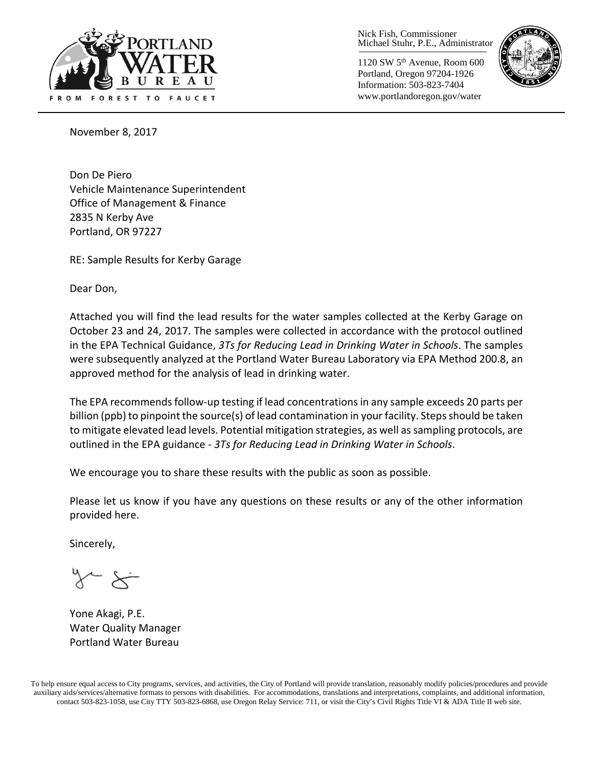

Nick Fish, Commissioner Michael Stuhr, P.E., Administrator

1120 SW 5th Avenue, Room 600 Portland, Oregon 97204-1926 Information: 503-823-7404 www.portlandoregon.gov/water



November 8, 2017

Don De Piero Vehicle Maintenance Superintendent Office of Management & Finance 2835 N Kerby Ave Portland, OR 97227

RE: Sample Results for Kerby Garage

Dear Don,

Attached you will find the lead results for the water samples collected at the Kerby Garage on October 23 and 24, 2017. The samples were collected in accordance with the protocol outlined in the EPA Technical Guidance, *3Ts for Reducing Lead in Drinking Water in Schools*. The samples were subsequently analyzed at the Portland Water Bureau Laboratory via EPA Method 200.8, an approved method for the analysis of lead in drinking water.

The EPA recommends follow-up testing if lead concentrations in any sample exceeds 20 parts per billion (ppb) to pinpoint the source(s) of lead contamination in your facility. Steps should be taken to mitigate elevated lead levels. Potential mitigation strategies, as well as sampling protocols, are outlined in the EPA guidance - *3Ts for Reducing Lead in Drinking Water in Schools*.

We encourage you to share these results with the public as soon as possible.

Please let us know if you have any questions on these results or any of the other information provided here.

Sincerely,

Yone Akagi, P.E. Water Quality Manager Portland Water Bureau

To help ensure equal access to City programs, services, and activities, the City of Portland will provide translation, reasonably modify policies/procedures and provide auxiliary aids/services/alternative formats to persons with disabilities. For accommodations, translations and interpretations, complaints, and additional information, contact 503-823-1058, use City TTY 503-823-6868, use Oregon Relay Service: 711, or visi[t the City's Civil Rights Title VI & ADA Title II web site.](http://www.portlandoregon.gov/oehr/66458)